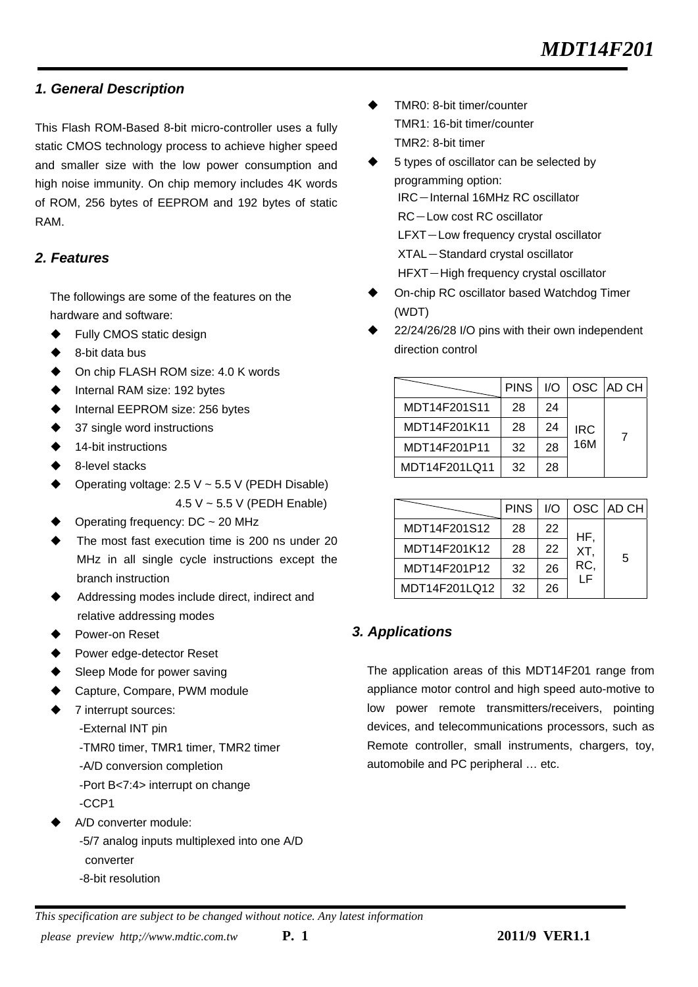### *1. General Description*

This Flash ROM-Based 8-bit micro-controller uses a fully static CMOS technology process to achieve higher speed and smaller size with the low power consumption and high noise immunity. On chip memory includes 4K words of ROM, 256 bytes of EEPROM and 192 bytes of static RAM.

## *2. Features*

The followings are some of the features on the hardware and software:

- ◆ Fully CMOS static design
- 8-bit data bus
- On chip FLASH ROM size: 4.0 K words
- Internal RAM size: 192 bytes
- Internal EEPROM size: 256 bytes
- 37 single word instructions
- 14-bit instructions
- 8-level stacks
- Operating voltage:  $2.5 V \sim 5.5 V$  (PEDH Disable) 4.5 V ~ 5.5 V (PEDH Enable)
- Operating frequency: DC ~ 20 MHz
- The most fast execution time is 200 ns under 20 MHz in all single cycle instructions except the branch instruction
- Addressing modes include direct, indirect and relative addressing modes
- Power-on Reset
- Power edge-detector Reset
- Sleep Mode for power saving
- Capture, Compare, PWM module
- 7 interrupt sources:
	- -External INT pin
	- -TMR0 timer, TMR1 timer, TMR2 timer
	- -A/D conversion completion
	- -Port B<7:4> interrupt on change -CCP1
	-
- A/D converter module:
	- -5/7 analog inputs multiplexed into one A/D converter
	- -8-bit resolution
- TMR0: 8-bit timer/counter TMR1: 16-bit timer/counter TMR2: 8-bit timer
- 5 types of oscillator can be selected by programming option: IRC-Internal 16MHz RC oscillator RC-Low cost RC oscillator LFXT-Low frequency crystal oscillator XTAL-Standard crystal oscillator
	- HFXT-High frequency crystal oscillator
- On-chip RC oscillator based Watchdog Timer (WDT)
- 22/24/26/28 I/O pins with their own independent direction control

|               | <b>PINS</b> | 1/O |            | OSC AD CH |
|---------------|-------------|-----|------------|-----------|
| MDT14F201S11  | 28          | 24  |            |           |
| MDT14F201K11  | 28          | 24  | <b>IRC</b> | 7         |
| MDT14F201P11  | 32          | 28  | 16M        |           |
| MDT14F201LQ11 | 32          | 28  |            |           |

|               | <b>PINS</b> | 1/O |     | OSC AD CHI |
|---------------|-------------|-----|-----|------------|
| MDT14F201S12  | 28          | 22  | HF. |            |
| MDT14F201K12  | 28          | 22  | XT. | 5          |
| MDT14F201P12  | 32          | 26  | RC, |            |
| MDT14F201LQ12 | 32          | 26  | ΙF  |            |

## *3. Applications*

The application areas of this MDT14F201 range from appliance motor control and high speed auto-motive to low power remote transmitters/receivers, pointing devices, and telecommunications processors, such as Remote controller, small instruments, chargers, toy, automobile and PC peripheral … etc.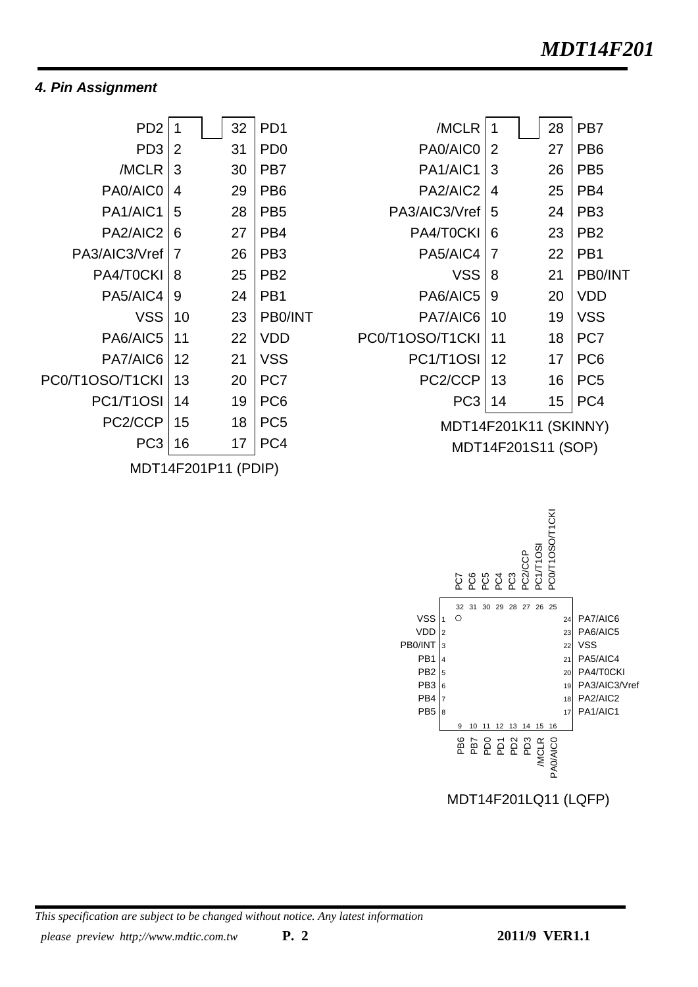## *4. Pin Assignment*

| PD <sub>2</sub>                   | 1                    | 32 | PD <sub>1</sub> |
|-----------------------------------|----------------------|----|-----------------|
| PD <sub>3</sub>                   | 2                    | 31 | PD <sub>0</sub> |
| /MCLR                             | 3                    | 30 | PB7             |
| PA0/AIC0                          | 4                    | 29 | PB <sub>6</sub> |
| PA <sub>1</sub> /AIC <sub>1</sub> | 5                    | 28 | PB <sub>5</sub> |
| PA2/AIC2                          | 6                    | 27 | PB4             |
| PA3/AIC3/Vref                     | 7                    | 26 | PB <sub>3</sub> |
| PA4/T0CKI                         | 8                    | 25 | PB <sub>2</sub> |
| PA5/AIC4                          | 9                    | 24 | PB <sub>1</sub> |
| <b>VSS</b>                        | 10                   | 23 | PB0/INT         |
| PA6/AIC5                          | 11                   | 22 | VDD             |
| PA7/AIC6                          | 12                   | 21 | <b>VSS</b>      |
| PC0/T1OSO/T1CKI                   | 13                   | 20 | PC7             |
| PC1/T1OSI                         | 14                   | 19 | PC <sub>6</sub> |
| PC2/CCP                           | 15                   | 18 | PC <sub>5</sub> |
| PC <sub>3</sub>                   | 16                   | 17 | PC4             |
|                                   | <b>CONDIJ (DDID)</b> |    |                 |

MDT14F201P11 (PDIP)

| 1                  | 28 | PB7                   |
|--------------------|----|-----------------------|
| 2                  | 27 | PB <sub>6</sub>       |
| 3                  | 26 | PB <sub>5</sub>       |
| 4                  | 25 | PB4                   |
| 5                  | 24 | PB <sub>3</sub>       |
| 6                  | 23 | PB <sub>2</sub>       |
| 7                  | 22 | PB1                   |
| 8                  | 21 | PB0/INT               |
| 9                  | 20 | VDD                   |
| 10                 | 19 | <b>VSS</b>            |
| 11                 | 18 | PC7                   |
| 12                 | 17 | PC <sub>6</sub>       |
| 13                 | 16 | PC <sub>5</sub>       |
| 14                 | 15 | PC4                   |
|                    |    |                       |
| MDT14F201S11 (SOP) |    |                       |
|                    |    | MDT14F201K11 (SKINNY) |

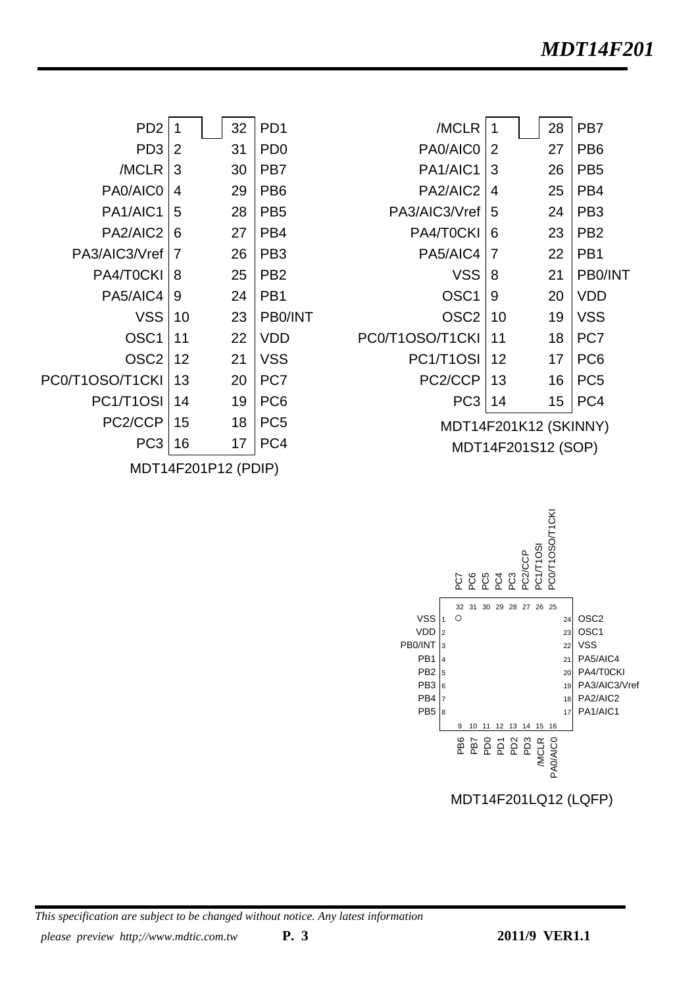| /MCLR                 | 1                  | 28 | PB7             |
|-----------------------|--------------------|----|-----------------|
| PA0/AIC0              | $\overline{2}$     | 27 | PB <sub>6</sub> |
| PA1/AIC1              | 3                  | 26 | PB <sub>5</sub> |
| PA2/AIC2              | 4                  | 25 | PB <sub>4</sub> |
| PA3/AIC3/Vref         | 5                  | 24 | PB <sub>3</sub> |
| PA4/T0CKI             | 6                  | 23 | PB <sub>2</sub> |
| PA5/AIC4              | 7                  | 22 | PB <sub>1</sub> |
| VSS                   | 8                  | 21 | PB0/INT         |
| OSC <sub>1</sub>      | 9                  | 20 | VDD             |
| OSC <sub>2</sub>      | 10                 | 19 | VSS             |
| PC0/T1OSO/T1CKI       | 11                 | 18 | PC7             |
| PC1/T1OSI             | 12                 | 17 | PC <sub>6</sub> |
| PC2/CCP               | 13                 | 16 | PC <sub>5</sub> |
| PC <sub>3</sub>       | 14                 | 15 | PC4             |
| MDT14F201K12 (SKINNY) |                    |    |                 |
|                       | MDT14F201S12 (SOP) |    |                 |
|                       |                    |    |                 |

| P <sub>D</sub> <sub>2</sub>       | 1                   | 32 | PD <sub>1</sub> |
|-----------------------------------|---------------------|----|-----------------|
| PD <sub>3</sub>                   | 2                   | 31 | PD <sub>0</sub> |
| /MCLR                             | 3                   | 30 | PB7             |
| PA0/AIC0                          | 4                   | 29 | PB <sub>6</sub> |
| PA <sub>1</sub> /AIC <sub>1</sub> | 5                   | 28 | PB <sub>5</sub> |
| PA2/AIC2                          | 6                   | 27 | PB4             |
| PA3/AIC3/Vref                     | 7                   | 26 | PB3             |
| PA4/T0CKI                         | 8                   | 25 | PB <sub>2</sub> |
| PA5/AIC4                          | 9                   | 24 | PB <sub>1</sub> |
| <b>VSS</b>                        | 10                  | 23 | PB0/INT         |
| OSC <sub>1</sub>                  | 11                  | 22 | VDD             |
| OSC2                              | 12                  | 21 | VSS             |
| PC0/T1OSO/T1CKI                   | 13                  | 20 | PC7             |
| PC1/T1OSI                         | 14                  | 19 | PC <sub>6</sub> |
| PC2/CCP                           | 15                  | 18 | PC <sub>5</sub> |
| PC <sub>3</sub>                   | 16                  | 17 | PC4             |
|                                   | MDT14F201P12 (PDIP) |    |                 |



*This specification are subject to be changed without notice. Any latest information please preview http;//www.mdtic.com.tw* **P. 3 2011/9 VER1.1**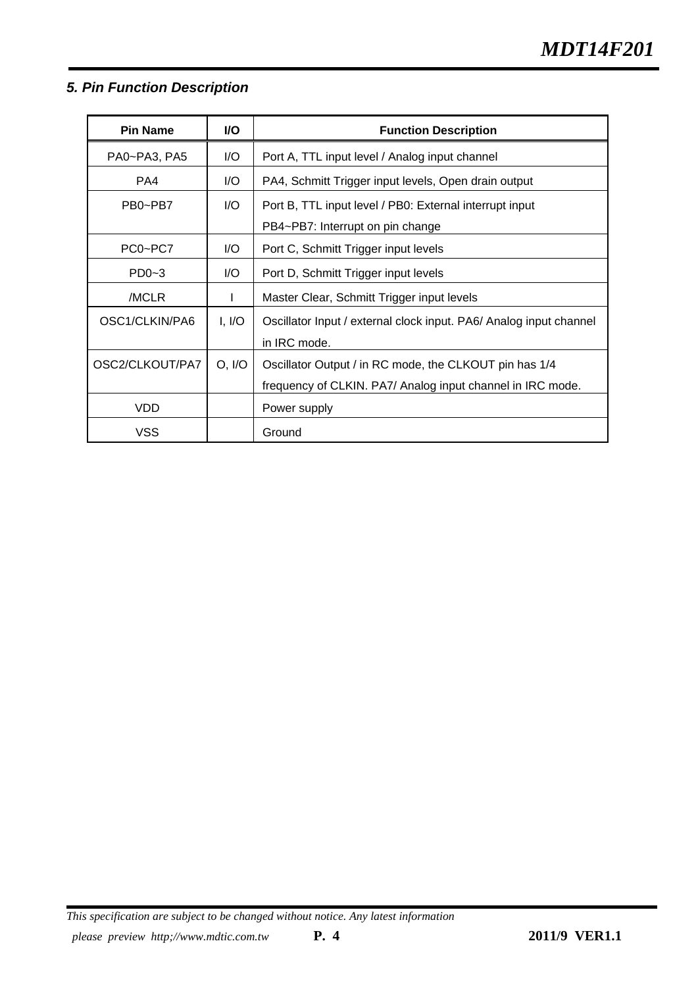# *5. Pin Function Description*

| <b>Pin Name</b> | I/O    | <b>Function Description</b>                                        |  |
|-----------------|--------|--------------------------------------------------------------------|--|
| PA0~PA3, PA5    | I/O    | Port A, TTL input level / Analog input channel                     |  |
| PA4             | I/O    | PA4, Schmitt Trigger input levels, Open drain output               |  |
| PB0~PB7         | I/O    | Port B, TTL input level / PB0: External interrupt input            |  |
|                 |        | PB4~PB7: Interrupt on pin change                                   |  |
| PC0~PC7         | I/O    | Port C, Schmitt Trigger input levels                               |  |
| $PD0-3$         | I/O    | Port D, Schmitt Trigger input levels                               |  |
| /MCLR           |        | Master Clear, Schmitt Trigger input levels                         |  |
| OSC1/CLKIN/PA6  | I, I/O | Oscillator Input / external clock input. PA6/ Analog input channel |  |
|                 |        | in IRC mode.                                                       |  |
| OSC2/CLKOUT/PA7 | O, I/O | Oscillator Output / in RC mode, the CLKOUT pin has 1/4             |  |
|                 |        | frequency of CLKIN. PA7/ Analog input channel in IRC mode.         |  |
| <b>VDD</b>      |        | Power supply                                                       |  |
| VSS             |        | Ground                                                             |  |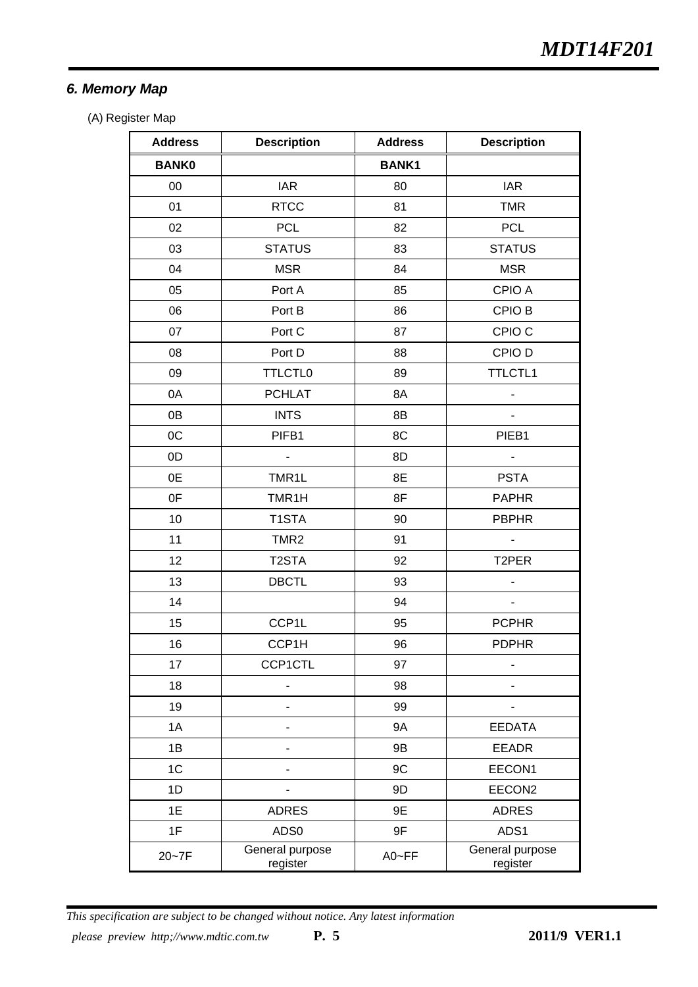# *6. Memory Map*

(A) Register Map

| <b>Address</b> | <b>Description</b>          | <b>Address</b> | <b>Description</b>          |
|----------------|-----------------------------|----------------|-----------------------------|
| <b>BANK0</b>   |                             | <b>BANK1</b>   |                             |
| $00\,$         | <b>IAR</b>                  | 80             | <b>IAR</b>                  |
| 01             | <b>RTCC</b>                 | 81             | <b>TMR</b>                  |
| 02             | <b>PCL</b>                  | 82             | <b>PCL</b>                  |
| 03             | <b>STATUS</b>               | 83             | <b>STATUS</b>               |
| 04             | <b>MSR</b>                  | 84             | <b>MSR</b>                  |
| 05             | Port A                      | 85             | CPIO A                      |
| 06             | Port B                      | 86             | CPIO B                      |
| 07             | Port C                      | 87             | CPIO <sub>C</sub>           |
| 08             | Port D                      | 88             | CPIO D                      |
| 09             | <b>TTLCTL0</b>              | 89             | <b>TTLCTL1</b>              |
| 0A             | <b>PCHLAT</b>               | 8A             |                             |
| 0B             | <b>INTS</b>                 | 8B             | $\overline{\phantom{0}}$    |
| OC             | PIFB1                       | 8C             | PIEB1                       |
| 0D             | $\blacksquare$              | 8D             | $\overline{\phantom{0}}$    |
| 0E             | TMR1L                       | 8E             | <b>PSTA</b>                 |
| 0F             | TMR1H                       | 8F             | <b>PAPHR</b>                |
| 10             | T1STA                       | 90             | <b>PBPHR</b>                |
| 11             | TMR <sub>2</sub>            | 91             | $\overline{\phantom{0}}$    |
| 12             | T <sub>2</sub> STA          | 92             | T2PER                       |
| 13             | <b>DBCTL</b>                | 93             |                             |
| 14             |                             | 94             | ٠                           |
| 15             | CCP1L                       | 95             | <b>PCPHR</b>                |
| 16             | CCP1H                       | 96             | <b>PDPHR</b>                |
| 17             | <b>CCP1CTL</b>              | 97             |                             |
| 18             |                             | 98             |                             |
| 19             |                             | 99             |                             |
| 1A             |                             | <b>9A</b>      | <b>EEDATA</b>               |
| 1B             |                             | 9B             | <b>EEADR</b>                |
| 1C             |                             | 9C             | EECON1                      |
| 1D             |                             | 9D             | EECON2                      |
| 1E             | <b>ADRES</b>                | 9E             | <b>ADRES</b>                |
| 1F             | ADS0                        | 9F             | ADS1                        |
| $20 - 7F$      | General purpose<br>register | A0~FF          | General purpose<br>register |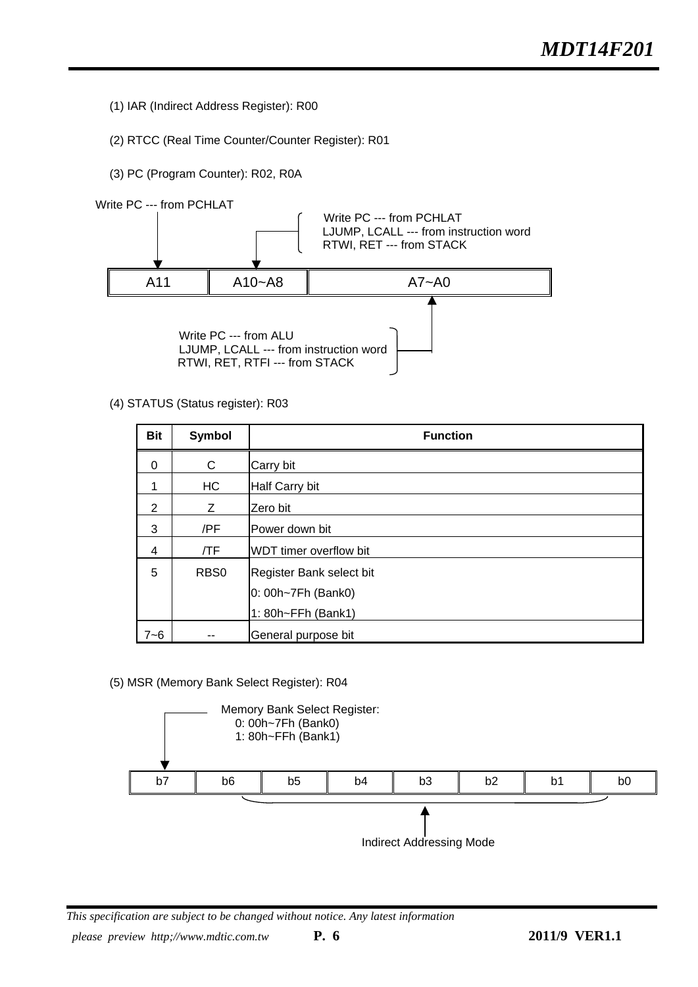- (1) IAR (Indirect Address Register): R00
- (2) RTCC (Real Time Counter/Counter Register): R01
- (3) PC (Program Counter): R02, R0A



(4) STATUS (Status register): R03

| <b>Bit</b> | Symbol           | <b>Function</b>                                                      |
|------------|------------------|----------------------------------------------------------------------|
| $\Omega$   | C                | Carry bit                                                            |
|            | HC               | Half Carry bit                                                       |
| 2          | Z                | Zero bit                                                             |
| 3          | /PF              | Power down bit                                                       |
| 4          | /TF              | WDT timer overflow bit                                               |
| 5          | RB <sub>S0</sub> | Register Bank select bit<br>0: 00h~7Fh (Bank0)<br>1: 80h~FFh (Bank1) |
| $7 - 6$    |                  | General purpose bit                                                  |

(5) MSR (Memory Bank Select Register): R04

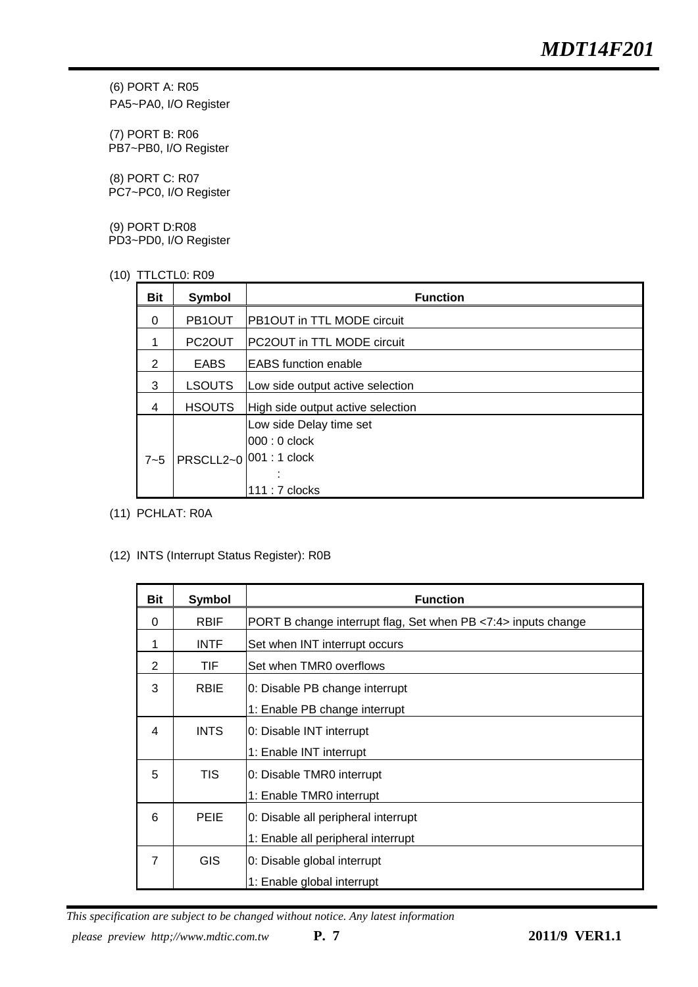(6) PORT A: R05 PA5~PA0, I/O Register

(7) PORT B: R06 PB7~PB0, I/O Register

(8) PORT C: R07 PC7~PC0, I/O Register

(9) PORT D:R08 PD3~PD0, I/O Register

(10) TTLCTL0: R09

| <b>Bit</b>     | Symbol              | <b>Function</b>                                                           |
|----------------|---------------------|---------------------------------------------------------------------------|
| $\Omega$       | PB1OUT              | PB1OUT in TTL MODE circuit                                                |
|                | PC <sub>2</sub> OUT | PC2OUT in TTL MODE circuit                                                |
| 2              | <b>EABS</b>         | <b>IEABS</b> function enable                                              |
| 3              | <b>LSOUTS</b>       | Low side output active selection                                          |
| $\overline{4}$ | <b>HSOUTS</b>       | High side output active selection                                         |
| $7 - 5$        | PRSCLL2~0           | Low side Delay time set<br>$000:0$ clock<br>001:1 clock<br>111 : 7 clocks |

(11) PCHLAT: R0A

#### (12) INTS (Interrupt Status Register): R0B

| <b>Bit</b>     | <b>Symbol</b> | <b>Function</b>                                               |
|----------------|---------------|---------------------------------------------------------------|
| $\Omega$       | <b>RBIF</b>   | PORT B change interrupt flag, Set when PB <7:4> inputs change |
| 1              | <b>INTF</b>   | Set when INT interrupt occurs                                 |
| 2              | TIF.          | Set when TMR0 overflows                                       |
| 3              | <b>RBIE</b>   | 0: Disable PB change interrupt                                |
|                |               | 1: Enable PB change interrupt                                 |
| 4              | <b>INTS</b>   | 0: Disable INT interrupt                                      |
|                |               | 1: Enable INT interrupt                                       |
| 5              | <b>TIS</b>    | 0: Disable TMR0 interrupt                                     |
|                |               | 1: Enable TMR0 interrupt                                      |
| 6              | <b>PEIE</b>   | 0: Disable all peripheral interrupt                           |
|                |               | 1: Enable all peripheral interrupt                            |
| $\overline{7}$ | <b>GIS</b>    | 0: Disable global interrupt                                   |
|                |               | 1: Enable global interrupt                                    |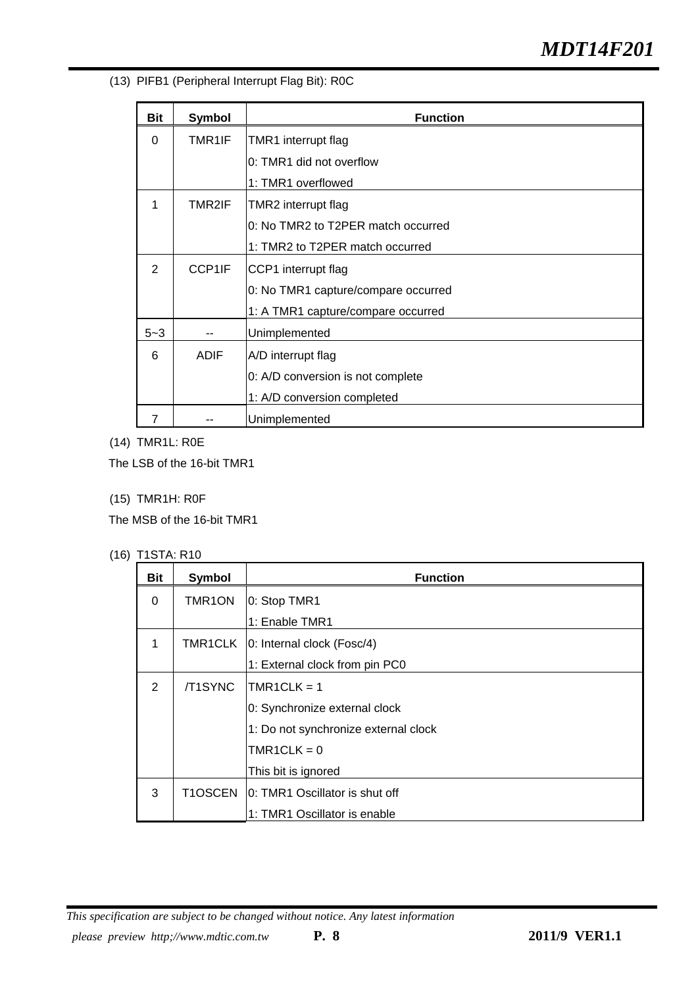(13) PIFB1 (Peripheral Interrupt Flag Bit): R0C

| <b>Bit</b>    | <b>Symbol</b> | <b>Function</b>                     |
|---------------|---------------|-------------------------------------|
| 0             | TMR1IF        | TMR1 interrupt flag                 |
|               |               | 0: TMR1 did not overflow            |
|               |               | 1: TMR1 overflowed                  |
| 1             | TMR2IF        | TMR2 interrupt flag                 |
|               |               | 0: No TMR2 to T2PER match occurred  |
|               |               | 1: TMR2 to T2PER match occurred     |
| $\mathcal{P}$ | CCP1IF        | CCP1 interrupt flag                 |
|               |               | 0: No TMR1 capture/compare occurred |
|               |               | 1: A TMR1 capture/compare occurred  |
| $5 - 3$       |               | Unimplemented                       |
| 6             | <b>ADIF</b>   | A/D interrupt flag                  |
|               |               | 0: A/D conversion is not complete   |
|               |               | 1: A/D conversion completed         |
| 7             |               | Unimplemented                       |

(14) TMR1L: R0E

The LSB of the 16-bit TMR1

(15) TMR1H: R0F

The MSB of the 16-bit TMR1

(16) T1STA: R10

| Bit      | Symbol              | <b>Function</b>                      |  |  |  |  |  |  |
|----------|---------------------|--------------------------------------|--|--|--|--|--|--|
| $\Omega$ | TMR <sub>1</sub> ON | 0: Stop TMR1                         |  |  |  |  |  |  |
|          |                     | 1: Enable TMR1                       |  |  |  |  |  |  |
| 1        |                     | TMR1CLK   0: Internal clock (Fosc/4) |  |  |  |  |  |  |
|          |                     | 1: External clock from pin PC0       |  |  |  |  |  |  |
| 2        | /T1SYNC             | $TMR1CLK = 1$                        |  |  |  |  |  |  |
|          |                     | 0: Synchronize external clock        |  |  |  |  |  |  |
|          |                     | 1: Do not synchronize external clock |  |  |  |  |  |  |
|          |                     | $TMR1CLK = 0$                        |  |  |  |  |  |  |
|          |                     | This bit is ignored                  |  |  |  |  |  |  |
| 3        | T1OSCEN             | 0: TMR1 Oscillator is shut off       |  |  |  |  |  |  |
|          |                     | 1: TMR1 Oscillator is enable         |  |  |  |  |  |  |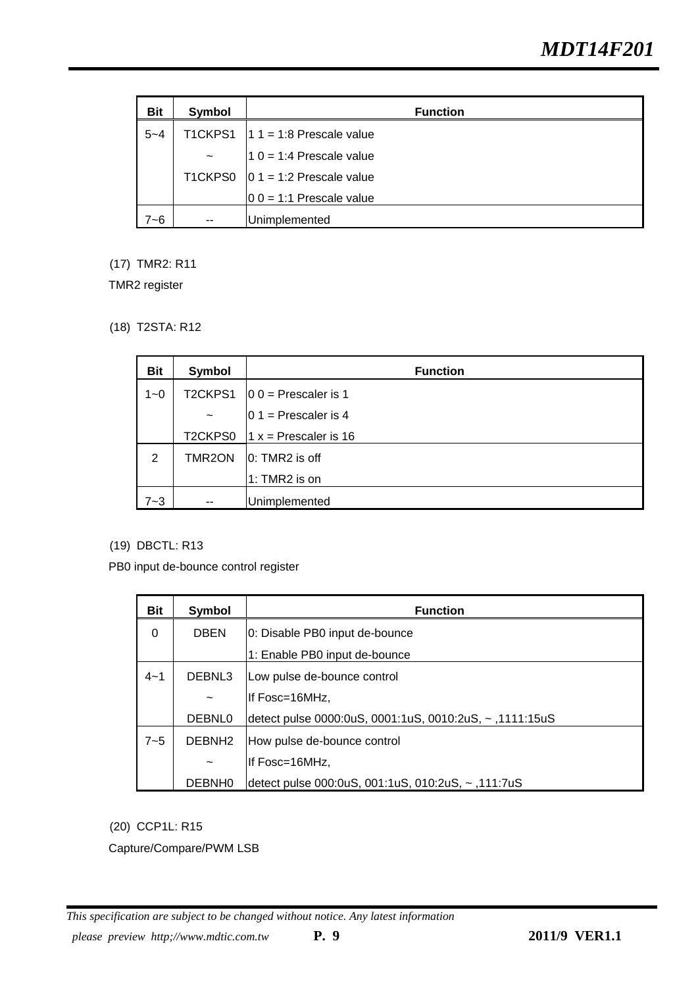| <b>Bit</b> | Symbol     | <b>Function</b>                     |
|------------|------------|-------------------------------------|
| $5 - 4$    |            | T1CKPS1 $ 1 1 = 1:8$ Prescale value |
|            | $\tilde{}$ | $10 = 1:4$ Prescale value           |
|            |            | T1CKPS0 $ 01 = 1:2$ Prescale value  |
|            |            | $ 0 0 = 1:1$ Prescale value         |
| '~6        | --         | Unimplemented                       |

(17) TMR2: R11

TMR2 register

(18) T2STA: R12

| <b>Bit</b> | Symbol                    | <b>Function</b>          |
|------------|---------------------------|--------------------------|
| $1 - 0$    | T2CKPS1                   | $ 0 0 $ = Prescaler is 1 |
|            | $\widetilde{\phantom{m}}$ | $ 0 1 $ = Prescaler is 4 |
|            | T2CKPS0                   | $1 x =$ Prescaler is 16  |
| 2          | TMR2ON                    | $ 0:TMR2$ is off         |
|            |                           | 1: TMR2 is on            |
| $7 - 3$    | --                        | Unimplemented            |

(19) DBCTL: R13

PB0 input de-bounce control register

| <b>Bit</b> | Symbol             | <b>Function</b>                                         |  |  |  |  |
|------------|--------------------|---------------------------------------------------------|--|--|--|--|
| 0          | <b>DBEN</b>        | 0: Disable PB0 input de-bounce                          |  |  |  |  |
|            |                    | 1: Enable PB0 input de-bounce                           |  |  |  |  |
| $4 - 1$    | DEBNL3             | Low pulse de-bounce control                             |  |  |  |  |
|            |                    | llf Fosc=16MHz.                                         |  |  |  |  |
|            | DEBNL <sub>0</sub> | detect pulse 0000:0uS, 0001:1uS, 0010:2uS, ~, 1111:15uS |  |  |  |  |
| $7 - 5$    | DEBNH <sub>2</sub> | How pulse de-bounce control                             |  |  |  |  |
|            |                    | llf Fosc=16MHz.                                         |  |  |  |  |
|            | DEBNH <sub>0</sub> | detect pulse 000:0uS, 001:1uS, 010:2uS, ~, 111:7uS      |  |  |  |  |

(20) CCP1L: R15

Capture/Compare/PWM LSB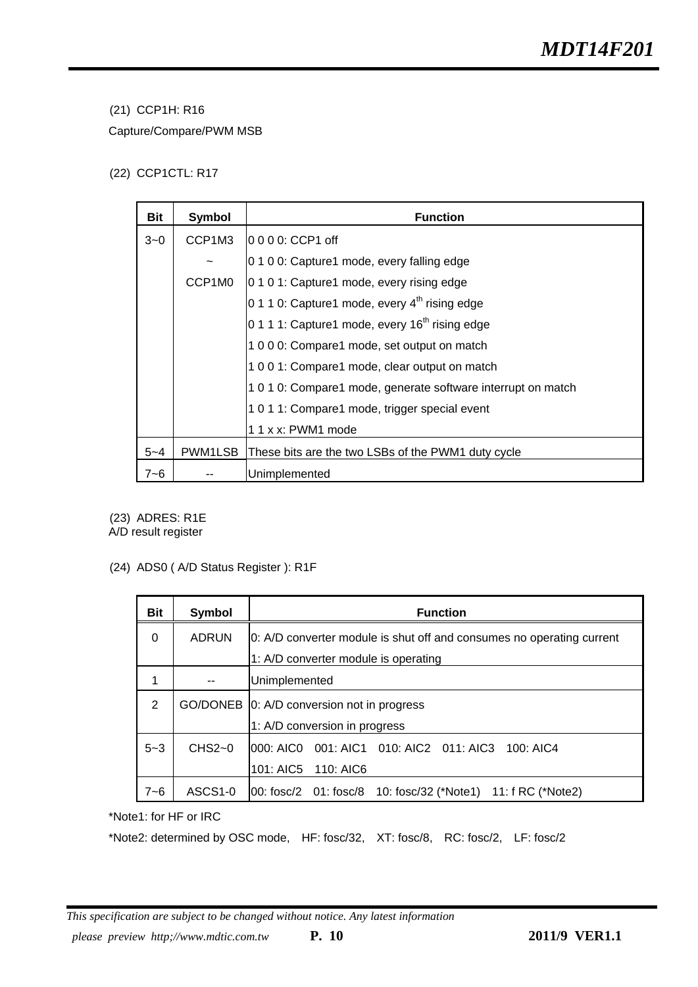#### (21) CCP1H: R16

Capture/Compare/PWM MSB

#### (22) CCP1CTL: R17

| Bit     | Symbol  | <b>Function</b>                                              |  |  |  |  |  |
|---------|---------|--------------------------------------------------------------|--|--|--|--|--|
| $3 - 0$ | CCP1M3  | l0  0  0  0: CCP1 off                                        |  |  |  |  |  |
|         |         | 0 1 0 0: Capture1 mode, every falling edge                   |  |  |  |  |  |
|         | CCP1M0  | 0 1 0 1: Capture1 mode, every rising edge                    |  |  |  |  |  |
|         |         | 0 1 1 0: Capture1 mode, every $4th$ rising edge              |  |  |  |  |  |
|         |         | 0 1 1 1: Capture1 mode, every $16th$ rising edge             |  |  |  |  |  |
|         |         | 1 0 0 0: Compare1 mode, set output on match                  |  |  |  |  |  |
|         |         | 1001: Compare1 mode, clear output on match                   |  |  |  |  |  |
|         |         | 1 0 1 0: Compare1 mode, generate software interrupt on match |  |  |  |  |  |
|         |         | 1011: Compare1 mode, trigger special event                   |  |  |  |  |  |
|         |         | 1 1 x x: PWM1 mode                                           |  |  |  |  |  |
| $5 - 4$ | PWM1LSB | These bits are the two LSBs of the PWM1 duty cycle           |  |  |  |  |  |
| 7~6     |         | Unimplemented                                                |  |  |  |  |  |

(23) ADRES: R1E

A/D result register

(24) ADS0 ( A/D Status Register ): R1F

| <b>Bit</b> | Symbol       | <b>Function</b>                                                       |  |  |  |  |  |  |
|------------|--------------|-----------------------------------------------------------------------|--|--|--|--|--|--|
| $\Omega$   | <b>ADRUN</b> | 0: A/D converter module is shut off and consumes no operating current |  |  |  |  |  |  |
|            |              | 1: A/D converter module is operating                                  |  |  |  |  |  |  |
|            |              | Unimplemented                                                         |  |  |  |  |  |  |
| 2          |              | GO/DONEB 0: A/D conversion not in progress                            |  |  |  |  |  |  |
|            |              | 1: A/D conversion in progress                                         |  |  |  |  |  |  |
| $5 - 3$    | $CHS2-0$     | 001: AIC1  010: AIC2  011: AIC3<br>1000: AICO<br>100: AIC4            |  |  |  |  |  |  |
|            |              | 101: AIC5 110: AIC6                                                   |  |  |  |  |  |  |
| 7~6        | ASCS1-0      | 00: fosc/2 01: fosc/8 10: fosc/32 (*Note1)<br>11: f RC (*Note2)       |  |  |  |  |  |  |

\*Note1: for HF or IRC

\*Note2: determined by OSC mode, HF: fosc/32, XT: fosc/8, RC: fosc/2, LF: fosc/2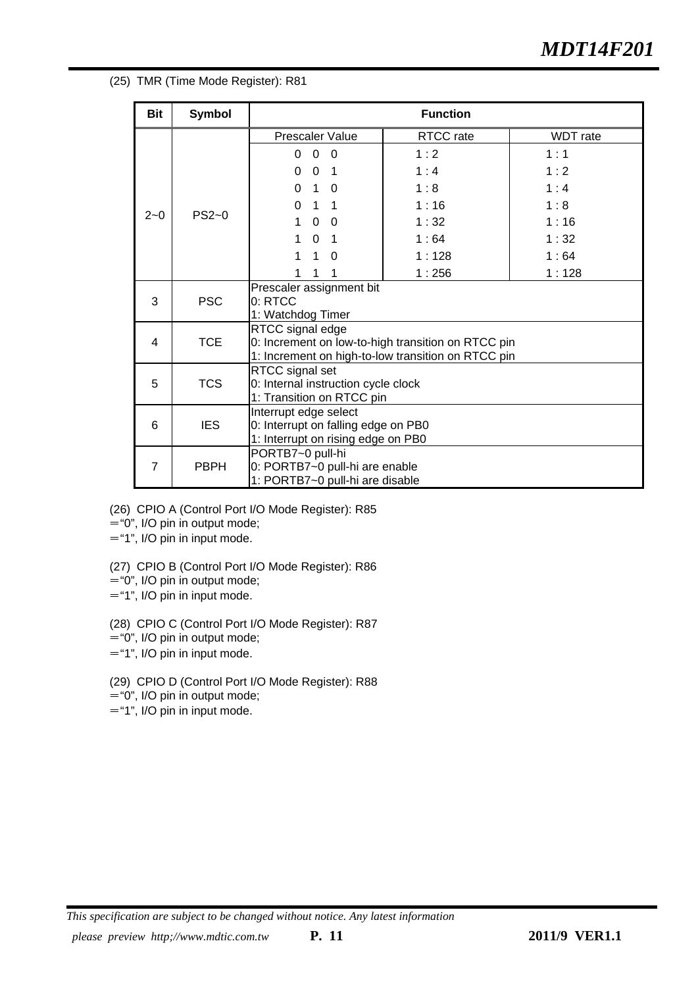#### (25) TMR (Time Mode Register): R81

| <b>Bit</b>     | <b>Symbol</b> |                                                                   | <b>Function</b> |                 |  |  |  |
|----------------|---------------|-------------------------------------------------------------------|-----------------|-----------------|--|--|--|
|                |               | <b>Prescaler Value</b>                                            | RTCC rate       | <b>WDT</b> rate |  |  |  |
|                |               | $\Omega$<br>$\Omega$<br>0                                         | 1:2             | 1:1             |  |  |  |
|                |               | $\Omega$<br>$\mathbf{0}$<br>-1                                    | 1:4             | 1:2             |  |  |  |
|                |               | $\mathbf{1}$<br>$\Omega$<br>0                                     | 1:8             | 1:4             |  |  |  |
|                |               | $\Omega$<br>$\mathbf{1}$<br>1                                     | 1:16            | 1:8             |  |  |  |
| $2 - 0$        | $PS2-0$       | $\mathbf 0$<br>1<br>- 0                                           | 1:32            | 1:16            |  |  |  |
|                |               | $\mathbf{1}$<br>$\mathbf 0$<br>$\overline{1}$                     | 1:64            | 1:32            |  |  |  |
|                |               | 1<br>$\mathbf{1}$<br>$\Omega$                                     | 1:128           | 1:64            |  |  |  |
|                |               | 1<br>1                                                            | 1:256           | 1:128           |  |  |  |
|                | <b>PSC</b>    | Prescaler assignment bit                                          |                 |                 |  |  |  |
| 3              |               | 0: RTCC<br>1: Watchdog Timer                                      |                 |                 |  |  |  |
|                |               | RTCC signal edge                                                  |                 |                 |  |  |  |
| 4              | <b>TCE</b>    | 0: Increment on low-to-high transition on RTCC pin                |                 |                 |  |  |  |
|                |               | 1: Increment on high-to-low transition on RTCC pin                |                 |                 |  |  |  |
|                |               | RTCC signal set                                                   |                 |                 |  |  |  |
| 5              | <b>TCS</b>    | 0: Internal instruction cycle clock<br>1: Transition on RTCC pin  |                 |                 |  |  |  |
|                |               | Interrupt edge select                                             |                 |                 |  |  |  |
| 6              | <b>IES</b>    | 0: Interrupt on falling edge on PB0                               |                 |                 |  |  |  |
|                |               | 1: Interrupt on rising edge on PB0                                |                 |                 |  |  |  |
|                |               | PORTB7~0 pull-hi                                                  |                 |                 |  |  |  |
| $\overline{7}$ | <b>PBPH</b>   | 0: PORTB7~0 pull-hi are enable<br>1: PORTB7~0 pull-hi are disable |                 |                 |  |  |  |

(26) CPIO A (Control Port I/O Mode Register): R85

="0", I/O pin in output mode;

="1", I/O pin in input mode.

(27) CPIO B (Control Port I/O Mode Register): R86

- ="0", I/O pin in output mode;
- ="1", I/O pin in input mode.

(28) CPIO C (Control Port I/O Mode Register): R87

- ="0", I/O pin in output mode;
- ="1", I/O pin in input mode.

(29) CPIO D (Control Port I/O Mode Register): R88

="0", I/O pin in output mode;

="1", I/O pin in input mode.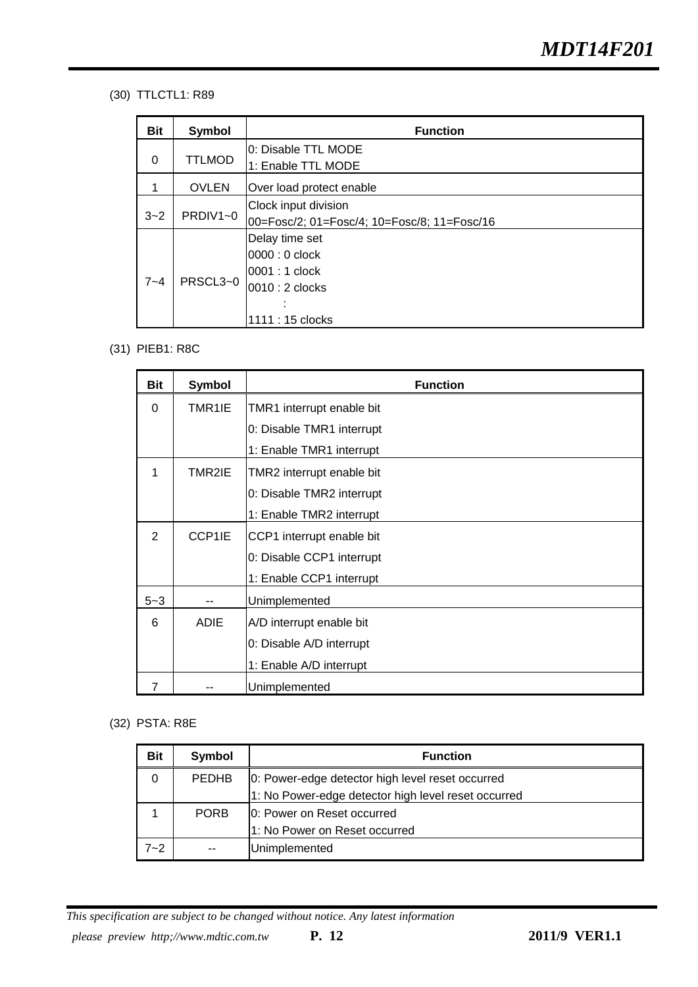#### (30) TTLCTL1: R89

| Bit      | Symbol        | <b>Function</b>                             |
|----------|---------------|---------------------------------------------|
| $\Omega$ | <b>TTLMOD</b> | 0: Disable TTL MODE                         |
|          |               | 1: Enable TTL MODE                          |
|          | <b>OVLEN</b>  | Over load protect enable                    |
|          |               | Clock input division                        |
| $3 - 2$  | PRDIV1~0      | 00=Fosc/2; 01=Fosc/4; 10=Fosc/8; 11=Fosc/16 |
|          |               | Delay time set                              |
|          |               | 0000 : 0 clock                              |
|          |               | 0001 : 1 clock                              |
| $7 - 4$  | PRSCL3~0      | 0010 : 2 clocks                             |
|          |               |                                             |
|          |               | 1111 : 15 clocks                            |

#### (31) PIEB1: R8C

| <b>Bit</b> | <b>Symbol</b> | <b>Function</b>           |
|------------|---------------|---------------------------|
| $\Omega$   | TMR1IE        | TMR1 interrupt enable bit |
|            |               | 0: Disable TMR1 interrupt |
|            |               | 1: Enable TMR1 interrupt  |
| 1          | TMR2IE        | TMR2 interrupt enable bit |
|            |               | 0: Disable TMR2 interrupt |
|            |               | 1: Enable TMR2 interrupt  |
| 2          | CCP1IE        | CCP1 interrupt enable bit |
|            |               | 0: Disable CCP1 interrupt |
|            |               | 1: Enable CCP1 interrupt  |
| $5 - 3$    |               | Unimplemented             |
| 6          | <b>ADIE</b>   | A/D interrupt enable bit  |
|            |               | 0: Disable A/D interrupt  |
|            |               | 1: Enable A/D interrupt   |
|            |               | Unimplemented             |

#### (32) PSTA: R8E

| <b>Bit</b> | Symbol       | <b>Function</b>                                     |  |  |  |  |  |
|------------|--------------|-----------------------------------------------------|--|--|--|--|--|
| 0          | <b>PEDHB</b> | 0: Power-edge detector high level reset occurred    |  |  |  |  |  |
|            |              | 1: No Power-edge detector high level reset occurred |  |  |  |  |  |
|            | <b>PORB</b>  | 10: Power on Reset occurred                         |  |  |  |  |  |
|            |              | 1: No Power on Reset occurred                       |  |  |  |  |  |
| 7~2        |              | Unimplemented                                       |  |  |  |  |  |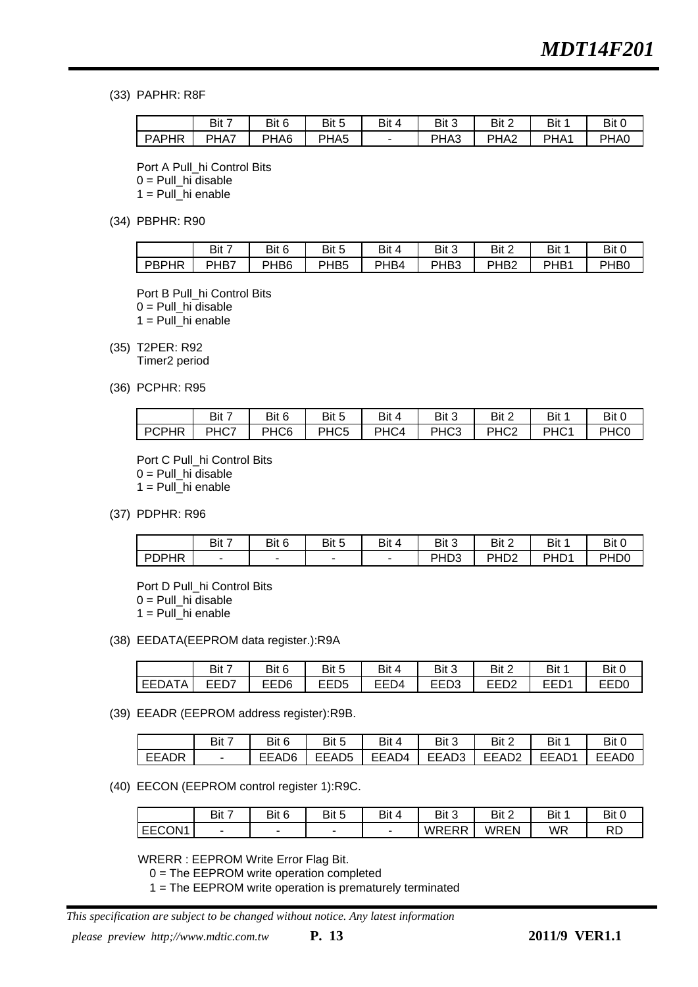(33) PAPHR: R8F

|              | Bit 7 | Bit 6 | Bit 5            | Bit 4 | Bit 3 | Bit 2            | Bit              | Bit 0 |
|--------------|-------|-------|------------------|-------|-------|------------------|------------------|-------|
| <b>PAPHR</b> | PHA7  | PHA6  | PHA <sub>5</sub> |       | PHA3  | PHA <sub>2</sub> | PHA <sub>1</sub> | PHA0  |

Port A Pull\_hi Control Bits  $0 =$  Pull hi disable 1 = Pull\_hi enable

(34) PBPHR: R90

|       | Bit 7 | Bit 6            | Bit 5            | Bit 4 | Bit 3            | Bit 2            | Bit  | Bit 0 |
|-------|-------|------------------|------------------|-------|------------------|------------------|------|-------|
| PBPHR | PHB7  | PHB <sub>6</sub> | PHB <sub>5</sub> | PHB4  | PHB <sub>3</sub> | PHB <sub>2</sub> | PHB1 | PHB0  |

Port B Pull\_hi Control Bits 0 = Pull\_hi disable  $1 =$  Pull\_hi enable

(35) T2PER: R92

Timer2 period

(36) PCPHR: R95

|              | Bit 7 | Bit 6            | Bit 5            | Bit 4 | Bit 3            | Bit 2            | Bit 1            | Bit 0            |
|--------------|-------|------------------|------------------|-------|------------------|------------------|------------------|------------------|
| <b>PCPHR</b> | PHC7  | PHC <sub>6</sub> | PHC <sub>5</sub> | PHC4  | PHC <sub>3</sub> | PHC <sub>2</sub> | PHC <sub>1</sub> | PHC <sub>0</sub> |

Port C Pull\_hi Control Bits  $0 =$  Pull hi disable 1 = Pull\_hi enable

(37) PDPHR: R96

|              | Bit 7 | Bit 6 | Bit 5 | Bit ∠<br>4 | Bit 3            | Bit 2            | Bit 1            | Bit 0            |
|--------------|-------|-------|-------|------------|------------------|------------------|------------------|------------------|
| <b>PDPHR</b> | ٠     |       |       | -          | PHD <sub>3</sub> | PH <sub>D2</sub> | PHD <sub>1</sub> | PH <sub>D0</sub> |

Port D Pull\_hi Control Bits  $0 =$  Pull hi disable

1 = Pull\_hi enable

(38) EEDATA(EEPROM data register.):R9A

|            | Bit 7               | Bit 6 | Bit 5       | Bit 4 | Bit 3        | Bit 2               | Bit 1      | Bit 0 |
|------------|---------------------|-------|-------------|-------|--------------|---------------------|------------|-------|
| TA<br>EEDA | <b>FFN7</b><br>ㄷㄷㄴ/ | EED6  | EED5<br>ᄂᄂ୰ | EED4  | rrno<br>EEDS | <b>FFD0</b><br>EEDZ | EED.<br>ᄂᄂ | EED0  |

(39) EEADR (EEPROM address register):R9B.

|              | Bit 7 | Bit 6 | Bit 5             | Bit 4 | Bit 3 | Bit 2             | Bit 1 | Bit 0        |
|--------------|-------|-------|-------------------|-------|-------|-------------------|-------|--------------|
| <b>EEADR</b> |       | EEAD6 | EEAD <sub>5</sub> | EEAD4 | EEAD3 | EEAD <sub>2</sub> | EEAD1 | <b>EEAD0</b> |

(40) EECON (EEPROM control register 1):R9C.

|               | Bit 7                    | Bit 6 | Bit 5                    | Bit ∠<br>$\overline{\mathbf{A}}$ | Bit 3        | Bit 2 | Bit 1 | Bit C    |
|---------------|--------------------------|-------|--------------------------|----------------------------------|--------------|-------|-------|----------|
| <b>EECON1</b> | $\overline{\phantom{a}}$ | -     | $\overline{\phantom{0}}$ |                                  | <b>WRERR</b> | WREN  | WR    | nг<br>↖∟ |

WRERR : EEPROM Write Error Flag Bit.

0 = The EEPROM write operation completed

1 = The EEPROM write operation is prematurely terminated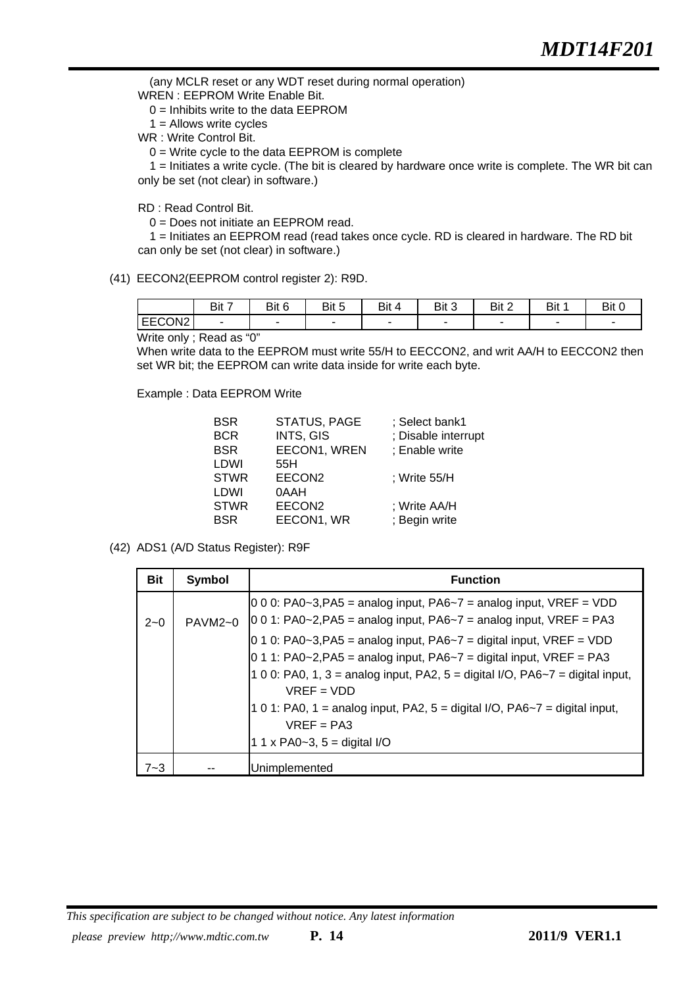(any MCLR reset or any WDT reset during normal operation)

WREN : EEPROM Write Enable Bit.

0 = Inhibits write to the data EEPROM

 $1 =$  Allows write cycles

WR : Write Control Bit.

0 = Write cycle to the data EEPROM is complete

 1 = Initiates a write cycle. (The bit is cleared by hardware once write is complete. The WR bit can only be set (not clear) in software.)

RD : Read Control Bit.

0 = Does not initiate an EEPROM read.

 1 = Initiates an EEPROM read (read takes once cycle. RD is cleared in hardware. The RD bit can only be set (not clear) in software.)

(41) EECON2(EEPROM control register 2): R9D.

|        | Bit 7 | Bit 6 | Bit 5 | Bit 4<br>4 | Bit 3                    | Bit 2 | D1+<br>DIL | Bit C                    |
|--------|-------|-------|-------|------------|--------------------------|-------|------------|--------------------------|
| EECON2 |       |       |       | -          | $\overline{\phantom{a}}$ |       | -          | $\overline{\phantom{a}}$ |

Write only ; Read as "0"

When write data to the EEPROM must write 55/H to EECCON2, and writ AA/H to EECCON2 then set WR bit; the EEPROM can write data inside for write each byte.

Example : Data EEPROM Write

| <b>BSR</b>  | STATUS, PAGE       | ; Select bank1      |
|-------------|--------------------|---------------------|
| <b>BCR</b>  | INTS, GIS          | ; Disable interrupt |
| <b>BSR</b>  | EECON1, WREN       | ; Enable write      |
| LDWI        | 55H                |                     |
| <b>STWR</b> | EECON <sub>2</sub> | ; Write 55/H        |
| LDWI        | 0AAH               |                     |
| <b>STWR</b> | EECON <sub>2</sub> | ; Write AA/H        |
| <b>BSR</b>  | EECON1, WR         | ; Begin write       |

(42) ADS1 (A/D Status Register): R9F

| <b>Bit</b> | Symbol    | <b>Function</b>                                                                                                                                                                                                                                        |
|------------|-----------|--------------------------------------------------------------------------------------------------------------------------------------------------------------------------------------------------------------------------------------------------------|
| $2 - 0$    | $PAVM2-0$ | $ 0\ 0\ 0$ : PA0~3,PA5 = analog input, PA6~7 = analog input, VREF = VDD<br>$0.01$ : PA0~2, PA5 = analog input, PA6~7 = analog input, VREF = PA3                                                                                                        |
|            |           | $0$ 1 0: PA0~3, PA5 = analog input, PA6~7 = digital input, VREF = VDD<br>$0$ 1 1: PA0~2, PA5 = analog input, PA6~7 = digital input, VREF = PA3<br>1 0 0: PA0, 1, 3 = analog input, PA2, 5 = digital I/O, PA6 $\sim$ 7 = digital input,<br>$VREF = VDD$ |
|            |           | 1 0 1: PA0, 1 = analog input, PA2, $5 =$ digital I/O, PA6~7 = digital input,<br>$VREF = PA3$<br>1 1 x PA0~3, $5 =$ digital I/O                                                                                                                         |
|            |           | Unimplemented                                                                                                                                                                                                                                          |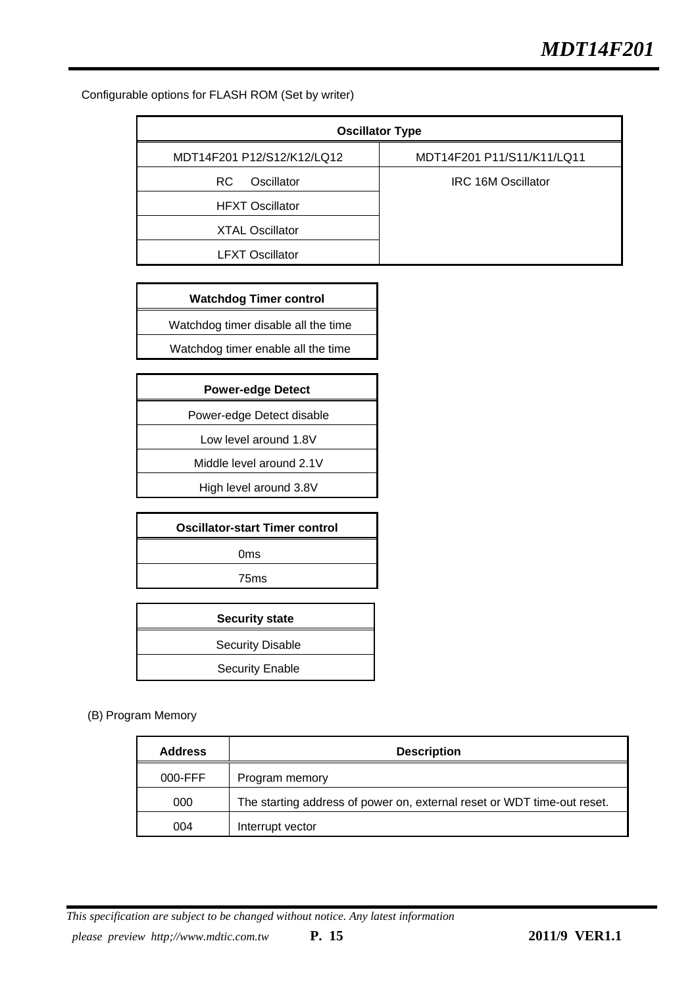Configurable options for FLASH ROM (Set by writer)

| <b>Oscillator Type</b>     |                            |
|----------------------------|----------------------------|
| MDT14F201 P12/S12/K12/LQ12 | MDT14F201 P11/S11/K11/LQ11 |
| Oscillator<br>RC.          | IRC 16M Oscillator         |
| <b>HFXT Oscillator</b>     |                            |
| <b>XTAL Oscillator</b>     |                            |
| <b>LFXT Oscillator</b>     |                            |

**Watchdog Timer control** 

Watchdog timer disable all the time

Watchdog timer enable all the time

| <b>Power-edge Detect</b> |  |
|--------------------------|--|
|--------------------------|--|

Power-edge Detect disable

Low level around 1.8V

Middle level around 2.1V

High level around 3.8V

| <b>Oscillator-start Timer control</b> |  |
|---------------------------------------|--|
| 0 <sub>ms</sub>                       |  |
| 75 <sub>ms</sub>                      |  |
|                                       |  |

| <b>Security state</b>   |
|-------------------------|
| <b>Security Disable</b> |
| <b>Security Enable</b>  |

#### (B) Program Memory

| <b>Address</b> | <b>Description</b>                                                      |
|----------------|-------------------------------------------------------------------------|
| 000-FFF        | Program memory                                                          |
| 000            | The starting address of power on, external reset or WDT time-out reset. |
| 004            | Interrupt vector                                                        |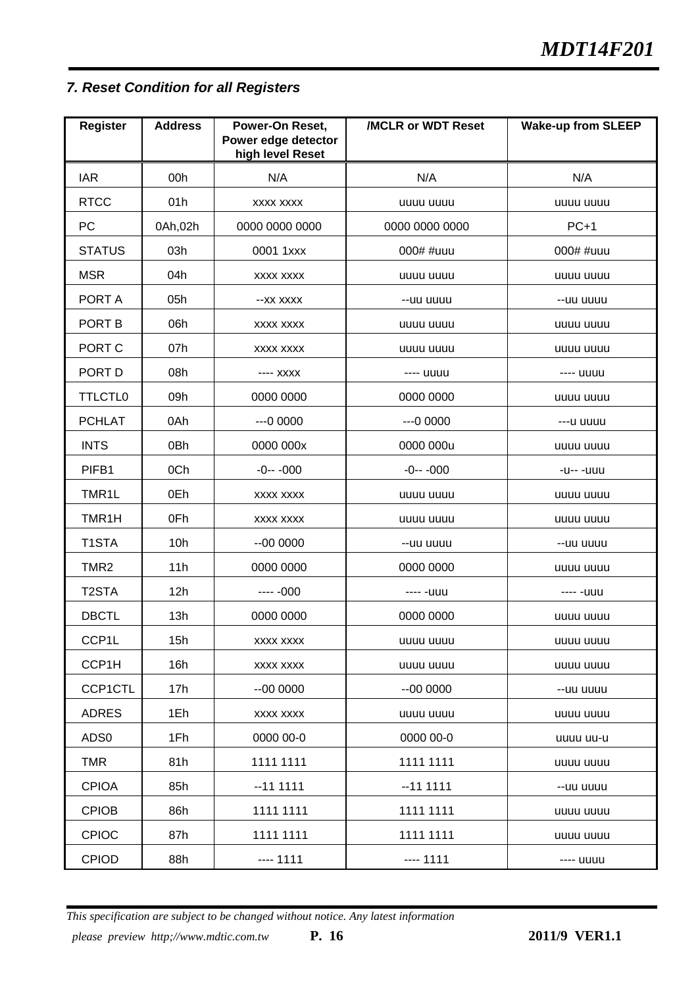# *7. Reset Condition for all Registers*

| <b>Register</b>    | <b>Address</b>  | Power-On Reset,<br>Power edge detector<br>high level Reset | /MCLR or WDT Reset | <b>Wake-up from SLEEP</b> |
|--------------------|-----------------|------------------------------------------------------------|--------------------|---------------------------|
| <b>IAR</b>         | 00h             | N/A                                                        | N/A                | N/A                       |
| <b>RTCC</b>        | 01h             | <b>XXXX XXXX</b>                                           | uuuu uuuu          | uuuu uuuu                 |
| <b>PC</b>          | 0Ah,02h         | 0000 0000 0000                                             | 0000 0000 0000     | $PC+1$                    |
| <b>STATUS</b>      | 03h             | 0001 1xxx                                                  | 000# #uuu          | 000# #uuu                 |
| <b>MSR</b>         | 04h             | <b>XXXX XXXX</b>                                           | uuuu uuuu          | uuuu uuuu                 |
| PORT A             | 05h             | --XX XXXX                                                  | --uu uuuu          | --uu uuuu                 |
| PORT B             | 06h             | <b>XXXX XXXX</b>                                           | uuuu uuuu          | uuuu uuuu                 |
| PORT C             | 07h             | <b>XXXX XXXX</b>                                           | uuuu uuuu          | uuuu uuuu                 |
| PORT D             | 08h             | ---- XXXX                                                  | ---- uuuu          | ---- uuuu                 |
| <b>TTLCTL0</b>     | 09h             | 0000 0000                                                  | 0000 0000          | uuuu uuuu                 |
| <b>PCHLAT</b>      | 0Ah             | $--00000$                                                  | $--00000$          | ---u uuuu                 |
| <b>INTS</b>        | 0 <sub>Bh</sub> | 0000 000x                                                  | 0000 000u          | uuuu uuuu                 |
| PIFB1              | 0Ch             | $-0---000$                                                 | $-0--000$          | -u-- -uuu                 |
| TMR1L              | 0Eh             | <b>XXXX XXXX</b>                                           | uuuu uuuu          | uuuu uuuu                 |
| TMR1H              | 0Fh             | <b>XXXX XXXX</b>                                           | uuuu uuuu          | uuuu uuuu                 |
| T1STA              | 10h             | $-000000$                                                  | --uu uuuu          | --uu uuuu                 |
| TMR <sub>2</sub>   | 11h             | 0000 0000                                                  | 0000 0000          | uuuu uuuu                 |
| T <sub>2</sub> STA | 12h             | $--- 000$                                                  | ---- -uuu          | ---- -uuu                 |
| <b>DBCTL</b>       | 13h             | 0000 0000                                                  | 0000 0000          | uuuu uuuu                 |
| CCP1L              | 15h             | <b>XXXX XXXX</b>                                           | uuuu uuuu          | uuuu uuuu                 |
| CCP1H              | 16h             | <b>XXXX XXXX</b>                                           | uuuu uuuu          | uuuu uuuu                 |
| CCP1CTL            | 17h             | $-000000$                                                  | $-000000$          | --uu uuuu                 |
| <b>ADRES</b>       | 1Eh             | <b>XXXX XXXX</b>                                           | uuuu uuuu          | uuuu uuuu                 |
| ADS0               | 1Fh             | 0000 00-0                                                  | 0000 00-0          | uuuu uu-u                 |
| <b>TMR</b>         | 81h             | 1111 1111                                                  | 1111 1111          | uuuu uuuu                 |
| <b>CPIOA</b>       | 85h             | $-111111$                                                  | $-111111$          | --uu uuuu                 |
| <b>CPIOB</b>       | 86h             | 1111 1111                                                  | 1111 1111          | uuuu uuuu                 |
| <b>CPIOC</b>       | 87h             | 1111 1111                                                  | 1111 1111          | uuuu uuuu                 |
| <b>CPIOD</b>       | 88h             | $--- 1111$                                                 | $--- 1111$         | ---- uuuu                 |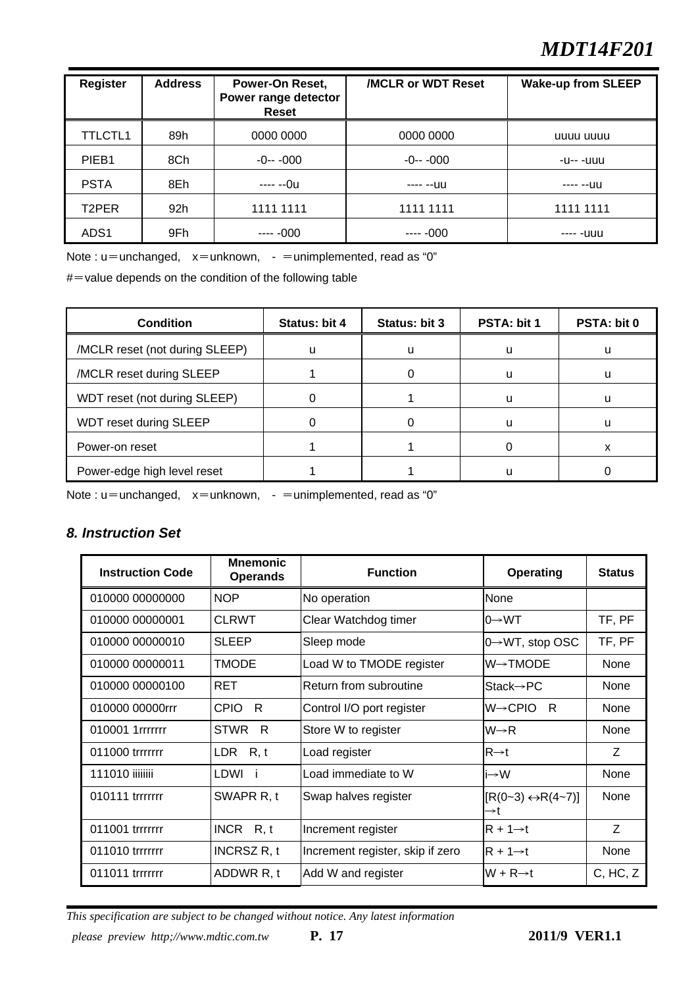# *MDT14F201*

| <b>Register</b>   | <b>Address</b> | Power-On Reset,<br>Power range detector<br>Reset | <b>/MCLR or WDT Reset</b> | <b>Wake-up from SLEEP</b> |
|-------------------|----------------|--------------------------------------------------|---------------------------|---------------------------|
| <b>TTLCTL1</b>    | 89h            | 0000 0000                                        | 0000 0000                 | uuuu uuuu                 |
| PIEB <sub>1</sub> | 8Ch            | $-0--000$                                        | $-0---000$                | -u-- -uuu                 |
| <b>PSTA</b>       | 8Eh            | ---- --0u                                        | $---1111$                 | ---- --uu                 |
| T2PER             | 92h            | 1111 1111                                        | 1111 1111                 | 1111 1111                 |
| ADS <sub>1</sub>  | 9Fh            | $--- 000$                                        | $--- 000$                 | ---- -uuu                 |

Note :  $u=$ unchanged,  $x=$ unknown, -  $=$ unimplemented, read as "0"

 $#$  = value depends on the condition of the following table

| <b>Condition</b>               | Status: bit 4 | Status: bit 3 | PSTA: bit 1 | <b>PSTA: bit 0</b> |
|--------------------------------|---------------|---------------|-------------|--------------------|
| /MCLR reset (not during SLEEP) | u             | u             | u           | u                  |
| /MCLR reset during SLEEP       |               |               |             | u                  |
| WDT reset (not during SLEEP)   |               |               |             | u                  |
| WDT reset during SLEEP         |               |               |             | u                  |
| Power-on reset                 |               |               |             |                    |
| Power-edge high level reset    |               |               |             |                    |

Note :  $u=$ unchanged,  $x=$ unknown, -  $=$ unimplemented, read as "0"

# *8. Instruction Set*

| <b>Instruction Code</b> | <b>Mnemonic</b><br><b>Operands</b> | <b>Function</b>                  | Operating                               | <b>Status</b> |
|-------------------------|------------------------------------|----------------------------------|-----------------------------------------|---------------|
| 010000 00000000         | <b>NOP</b>                         | No operation                     | None                                    |               |
| 010000 00000001         | <b>CLRWT</b>                       | Clear Watchdog timer             | l0→WT                                   | TF, PF        |
| 010000 00000010         | <b>SLEEP</b>                       | Sleep mode                       | $0 \rightarrow WT$ , stop OSC           | TF, PF        |
| 010000 00000011         | TMODE                              | Load W to TMODE register         | $W\rightarrow TMODE$                    | None          |
| 010000 00000100         | RET                                | Return from subroutine           | $State \rightarrow PC$                  | None          |
| 010000 00000rrr         | <b>CPIO</b><br>R                   | Control I/O port register        | $W\rightarrow CPIO$<br>- R              | None          |
| 010001 1rrrrrrr         | <b>STWR</b><br>- R                 | Store W to register              | $W\rightarrow R$                        | None          |
| 011000 trrrrrrr         | LDR $R, t$                         | Load register                    | $R\rightarrow t$                        | Z             |
| 111010 iiiiiiii         | LDWI                               | Load immediate to W              | i→W                                     | None          |
| 010111 trrrrrrr         | SWAPR R, t                         | Swap halves register             | $[R(0-3) \leftrightarrow R(4-7)]$<br>→t | None          |
| 011001 trrrrrrr         | INCR $R, t$                        | Increment register               | $IR + 1 \rightarrow t$                  | Z             |
| 011010 trrrrrrr         | <b>INCRSZ R, t</b>                 | Increment register, skip if zero | $R + 1 \rightarrow t$                   | None          |
| 011011 trrrrrrr         | ADDWR R, t                         | Add W and register               | $W + R \rightarrow t$                   | C, HC, Z      |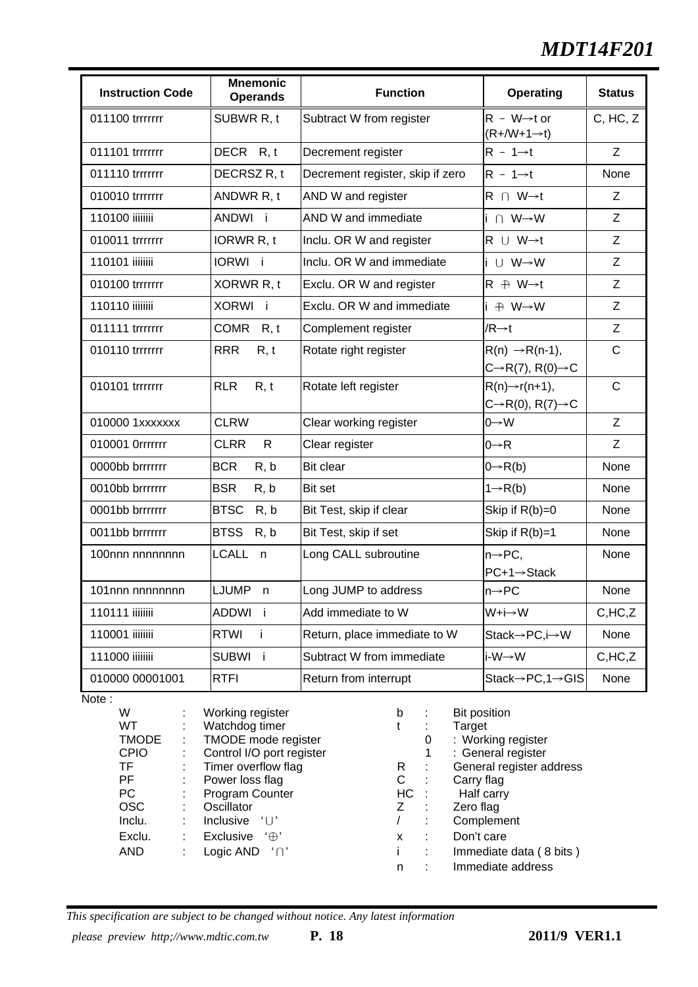# *MDT14F201*

| <b>Instruction Code</b> | <b>Mnemonic</b><br><b>Operands</b> | <b>Function</b>                  | <b>Operating</b>                                                      | <b>Status</b> |
|-------------------------|------------------------------------|----------------------------------|-----------------------------------------------------------------------|---------------|
| 011100 trrrrrrr         | SUBWR R, t                         | Subtract W from register         | $R - W \rightarrow t$ or<br>$(R + / W + 1 \rightarrow t)$             | C, HC, Z      |
| 011101 trrrrrrr         | DECR R, t                          | Decrement register               | $R - 1 \rightarrow t$                                                 | Z             |
| 011110 trrrrrrr         | DECRSZ R, t                        | Decrement register, skip if zero | $R - 1 \rightarrow t$                                                 | None          |
| 010010 trrrrrrr         | ANDWR R, t                         | AND W and register               | $R \cap W \rightarrow t$                                              | Z             |
| 110100 iiiiiiii         | ANDWI i                            | AND W and immediate              | $i \cap W \rightarrow W$                                              | Z             |
| 010011 trrrrrrr         | IORWR R, t                         | Inclu. OR W and register         | $R \cup W \rightarrow t$                                              | Z             |
| 110101 iiiiiiii         | IORWI i                            | Inclu. OR W and immediate        | i ∪ W→W                                                               | Z             |
| 010100 trrrrrrr         | XORWR R, t                         | Exclu. OR W and register         | $R \oplus W \rightarrow t$                                            | Z             |
| 110110 iiiiiiii         | XORWI i                            | Exclu. OR W and immediate        | i ⊕ W→W                                                               | Z             |
| 011111 trrrrrrr         | COMR R, t                          | Complement register              | $/R \rightarrow t$                                                    | Z             |
| 010110 trrrrrrr         | <b>RRR</b><br>R, t                 | Rotate right register            | $R(n) \rightarrow R(n-1),$<br>$C\rightarrow R(7), R(0)\rightarrow C$  | $\mathsf C$   |
| 010101 trrrrrrr         | <b>RLR</b><br>R, t                 | Rotate left register             | $R(n) \rightarrow r(n+1)$ ,<br>$C\rightarrow R(0), R(7)\rightarrow C$ | $\mathsf{C}$  |
| 010000 1xxxxxxx         | <b>CLRW</b>                        | Clear working register           | $0 \rightarrow W$                                                     | Z             |
| 010001 0rrrrrrr         | <b>CLRR</b><br>$\mathsf{R}$        | Clear register                   | $0 \rightarrow R$                                                     | Z             |
| 0000bb brrrrrrr         | <b>BCR</b><br>R, b                 | Bit clear                        | $0 \rightarrow R(b)$                                                  | None          |
| 0010bb brrrrrrr         | <b>BSR</b><br>R, b                 | Bit set                          | $1 \rightarrow R(b)$                                                  | None          |
| 0001bb brrrrrrr         | <b>BTSC</b><br>R, b                | Bit Test, skip if clear          | Skip if $R(b)=0$                                                      | None          |
| 0011bb brrrrrrr         | <b>BTSS</b><br>R, b                | Bit Test, skip if set            | Skip if R(b)=1                                                        | None          |
| 100nnn nnnnnnnn         | <b>LCALL</b><br>n                  | Long CALL subroutine             | $n \rightarrow PC$ ,<br>$PC+1 \rightarrow Steck$                      | None          |
| 101nnn nnnnnnnn         | <b>LJUMP</b><br>n                  | Long JUMP to address             | $n \rightarrow PC$                                                    | None          |
| 110111 iiiiiiii         | ADDWI i                            | Add immediate to W               | W+i→W                                                                 | C,HC, Z       |
| 110001 iiiiiiii         | <b>RTWI</b><br>Ť                   | Return, place immediate to W     | Stack→PC,i→W                                                          | None          |
| 111000 iiiiiiii         | <b>SUBWI</b><br>j.                 | Subtract W from immediate        | i-W→W                                                                 | C,HC, Z       |
| 010000 00001001         | <b>RTFI</b>                        | Return from interrupt            | Stack→PC,1→GIS                                                        | None          |

Note:

| W            | ÷  | Working register                              | b   |   | <b>Bit position</b>      |
|--------------|----|-----------------------------------------------|-----|---|--------------------------|
| WT.          | t. | Watchdog timer                                |     |   | Target                   |
| <b>TMODE</b> | ÷  | TMODE mode register                           |     | 0 | : Working register       |
| <b>CPIO</b>  | ÷  | Control I/O port register                     |     |   | : General register       |
| <b>TF</b>    | ÷  | Timer overflow flag                           | R.  | ÷ | General register address |
| <b>PF</b>    | ÷  | Power loss flag                               | С   |   | Carry flag               |
| <b>PC</b>    | ÷. | Program Counter                               | HC: |   | Half carry               |
| <b>OSC</b>   | ÷  | Oscillator                                    | Z.  |   | Zero flag                |
| Inclu.       | ÷  | <b>Inclusive</b><br>$^{\prime}$ U $^{\prime}$ |     |   | Complement               |
| Exclu.       | ÷  | Exclusive<br>$\cdot \oplus \cdot$             | x   |   | Don't care               |
| <b>AND</b>   | :  | Logic AND $\cap$                              |     |   | Immediate data (8 bits)  |
|              |    |                                               | n   |   | Immediate address        |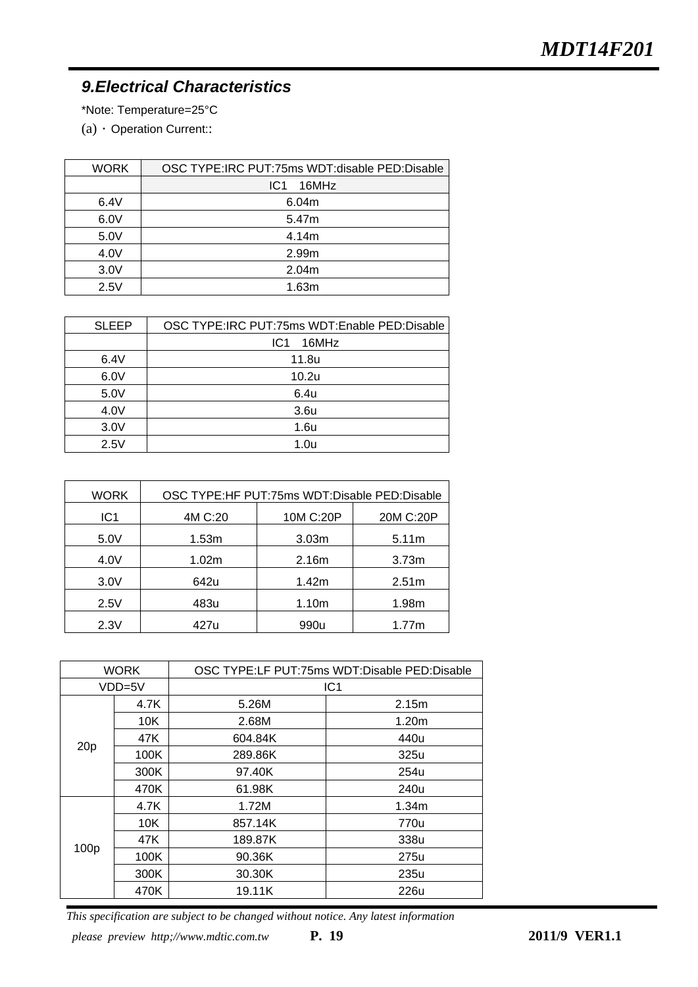# *9.Electrical Characteristics*

\*Note: Temperature=25°C

 $(a)$   $\cdot$  Operation Current::

| <b>WORK</b> | OSC TYPE:IRC PUT:75ms WDT:disable PED:Disable |
|-------------|-----------------------------------------------|
|             | 16MHz<br>IC <sub>1</sub>                      |
| 6.4V        | 6.04m                                         |
| 6.0V        | 5.47m                                         |
| 5.0V        | 4.14m                                         |
| 4.0V        | 2.99m                                         |
| 3.0V        | 2.04m                                         |
| 2.5V        | 1.63m                                         |

| <b>SLEEP</b> | OSC TYPE:IRC PUT:75ms WDT:Enable PED:Disable |
|--------------|----------------------------------------------|
|              | 16MHz<br>IC <sub>1</sub>                     |
| 6.4V         | 11.8u                                        |
| 6.0V         | 10.2u                                        |
| 5.0V         | 6.4u                                         |
| 4.0V         | 3.6u                                         |
| 3.0V         | 1.6u                                         |
| 2.5V         | 1.0 <sub>u</sub>                             |

| WORK            | OSC TYPE:HF PUT:75ms WDT:Disable PED:Disable |                   |                   |  |
|-----------------|----------------------------------------------|-------------------|-------------------|--|
| IC <sub>1</sub> | 4M C:20                                      | 10M C:20P         | 20M C:20P         |  |
| 5.0V            | 1.53m                                        | 3.03 <sub>m</sub> | 5.11m             |  |
| 4.0V            | 1.02m                                        | 2.16m             | 3.73m             |  |
| 3.0V            | 642u                                         | 1.42m             | 2.51 <sub>m</sub> |  |
| 2.5V            | 483u                                         | 1.10m             | 1.98m             |  |
| 2.3V            | 427u                                         | 990u              | 1.77m             |  |

| <b>WORK</b> |      | OSC TYPE:LF PUT:75ms WDT:Disable PED:Disable |                 |  |
|-------------|------|----------------------------------------------|-----------------|--|
| VDD=5V      |      |                                              | IC <sub>1</sub> |  |
|             | 4.7K | 5.26M                                        | 2.15m           |  |
|             | 10K  | 2.68M                                        | 1.20m           |  |
| 20p         | 47K  | 604.84K                                      | 440u            |  |
|             | 100K | 289.86K                                      | 325u            |  |
|             | 300K | 97.40K                                       | 254u            |  |
|             | 470K | 61.98K                                       | 240u            |  |
|             | 4.7K | 1.72M                                        | 1.34m           |  |
|             | 10K  | 857.14K                                      | 770u            |  |
|             | 47K  | 189.87K                                      | 338u            |  |
| 100p        | 100K | 90.36K                                       | 275u            |  |
|             | 300K | 30.30K                                       | 235u            |  |
|             | 470K | 19.11K                                       | 226u            |  |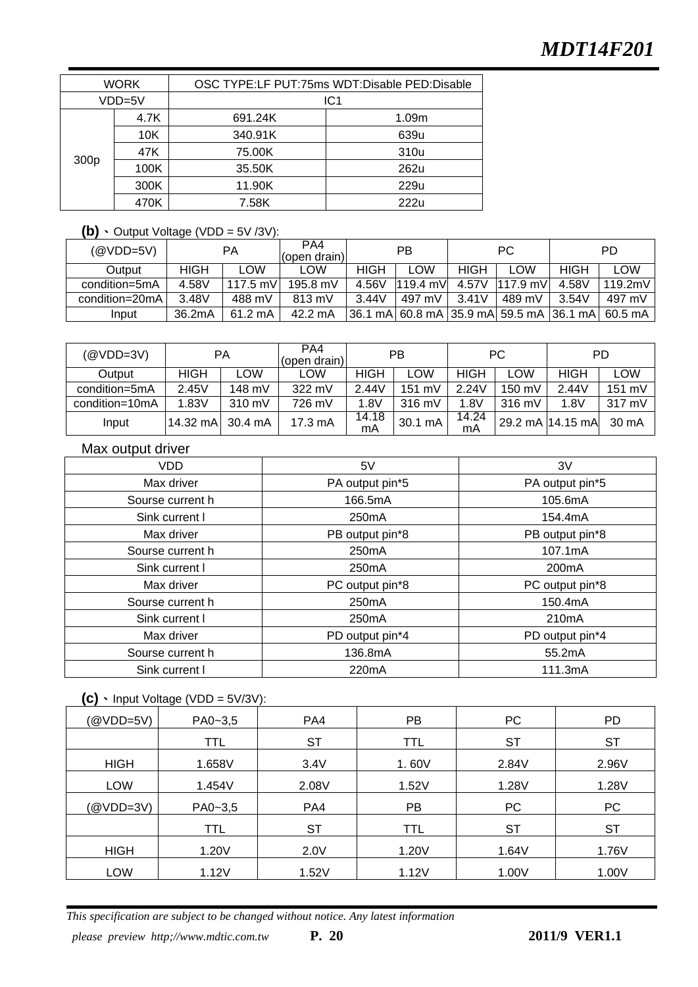| <b>WORK</b> |      | OSC TYPE:LF PUT:75ms WDT:Disable PED:Disable |                 |  |  |
|-------------|------|----------------------------------------------|-----------------|--|--|
| VDD=5V      |      |                                              | IC <sub>1</sub> |  |  |
|             | 4.7K | 691.24K                                      | 1.09m           |  |  |
| 300p        | 10K  | 340.91K                                      | 639u            |  |  |
|             | 47K  | 75.00K                                       | 310u            |  |  |
|             | 100K | 35.50K                                       | 262u            |  |  |
|             | 300K | 11.90K                                       | 229u            |  |  |
|             | 470K | 7.58K                                        | 222u            |  |  |

#### $(b)$  Output Voltage (VDD = 5V /3V):

| (@VDD=5V)      |        | PA                | PA4<br>(open drain) |             | <b>PB</b> |             | РC                                      |       | PD                |
|----------------|--------|-------------------|---------------------|-------------|-----------|-------------|-----------------------------------------|-------|-------------------|
| Output         | HIGH   | _OW               | <b>LOW</b>          | <b>HIGH</b> | _OW       | <b>HIGH</b> | .OW                                     | HIGH  | ∟OW               |
| condition=5mA  | 4.58V  | 117.5 mV          | 195.8 mV            | 4.56V       | 119.4 mV  | 4.57V       | $1117.9$ mV                             | 4.58V | 119.2mV           |
| condition=20mA | 3.48V  | 488 mV            | 813 mV              | 3.44V       | 497 mV    | 3.41V       | 489 mV                                  | 3.54V | 497 mV            |
| Input          | 36.2mA | $61.2 \text{ mA}$ | 42.2 mA             |             |           |             | 36.1 mA 60.8 mA 35.9 mA 59.5 mA 36.1 mA |       | $60.5 \text{ mA}$ |

| (@VDD=3V)      |                  | РA         | PA4<br>(open drain) |             | PB               |             | РC               |                  | <b>PD</b> |
|----------------|------------------|------------|---------------------|-------------|------------------|-------------|------------------|------------------|-----------|
| Output         | <b>HIGH</b>      | <b>LOW</b> | LOW                 | <b>HIGH</b> | LOW              | <b>HIGH</b> | <b>LOW</b>       | HIGH             | LOW       |
| condition=5mA  | 2.45V            | 148 mV     | 322 mV              | 2.44V       | 151 mV           | 2.24V       | $150 \text{ mV}$ | 2.44V            | 151 mV    |
| condition=10mA | 1.83V            | 310 mV     | 726 mV              | 1.8V        | $316 \text{ mV}$ | 1.8V        | $316 \text{ mV}$ | 1.8V             | 317 mV    |
| Input          | 14.32 mA 30.4 mA |            | $17.3 \text{ mA}$   | 14.18<br>mA | 30.1 mA          | 14.24<br>mA |                  | 29.2 mA 14.15 mA | 30 mA     |

#### Max output driver

| VDD.             | 5V                 | 3V                 |  |
|------------------|--------------------|--------------------|--|
| Max driver       | PA output pin*5    | PA output pin*5    |  |
| Sourse current h | 166.5mA            | 105.6mA            |  |
| Sink current I   | 250 <sub>m</sub> A | 154.4mA            |  |
| Max driver       | PB output pin*8    | PB output pin*8    |  |
| Sourse current h | 250 <sub>m</sub> A | 107.1mA            |  |
| Sink current I   | 250 <sub>m</sub> A | 200 <sub>m</sub> A |  |
| Max driver       | PC output pin*8    | PC output pin*8    |  |
| Sourse current h | 250 <sub>m</sub> A | 150.4mA            |  |
| Sink current I   | 250 <sub>m</sub> A | 210 <sub>m</sub> A |  |
| Max driver       | PD output pin*4    | PD output pin*4    |  |
| Sourse current h | 136.8mA            | 55.2mA             |  |
| Sink current I   | 220mA              | 111.3mA            |  |

### $(C)$  Input Voltage (VDD = 5V/3V):

| (@VDD=5V)   | PA0~3,5     | PA4       | PB         | PC        | PD        |
|-------------|-------------|-----------|------------|-----------|-----------|
|             | TTL         | <b>ST</b> | TTL        | <b>ST</b> | <b>ST</b> |
| <b>HIGH</b> | 1.658V      | 3.4V      | 1.60V      | 2.84V     | 2.96V     |
| <b>LOW</b>  | 1.454V      | 2.08V     | 1.52V      | 1.28V     | 1.28V     |
| (@VDD=3V)   | $PA0 - 3,5$ | PA4       | PB.        | <b>PC</b> | PC        |
|             | <b>TTL</b>  | <b>ST</b> | <b>TTL</b> | <b>ST</b> | <b>ST</b> |
| <b>HIGH</b> | 1.20V       | 2.0V      | 1.20V      | 1.64V     | 1.76V     |
| LOW         | 1.12V       | 1.52V     | 1.12V      | 1.00V     | 1.00V     |